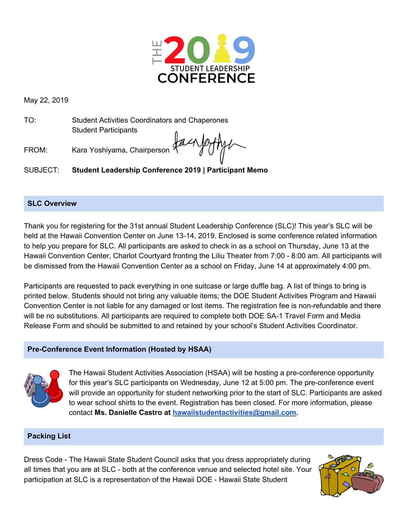

May 22, 2019

TO: Student Activities Coordinators and Chaperones Student Participants

FROM: Kara Yoshiyama, Chairperson

SUBJECT: **Student Leadership Conference 2019 | Participant Memo**

## **SLC Overview**

Thank you for registering for the 31st annual Student Leadership Conference (SLC)! This year's SLC will be held at the Hawaii Convention Center on June 13-14, 2019. Enclosed is some conference related information to help you prepare for SLC. All participants are asked to check in as a school on Thursday, June 13 at the Hawaii Convention Center, Charlot Courtyard fronting the Liliu Theater from 7:00 - 8:00 am. All participants will be dismissed from the Hawaii Convention Center as a school on Friday, June 14 at approximately 4:00 pm.

Participants are requested to pack everything in one suitcase or large duffle bag. A list of things to bring is printed below. Students should not bring any valuable items; the DOE Student Activities Program and Hawaii Convention Center is not liable for any damaged or lost items. The registration fee is non-refundable and there will be no substitutions. All participants are required to complete both DOE SA-1 Travel Form and Media Release Form and should be submitted to and retained by your school's Student Activities Coordinator.

# **Pre-Conference Event Information (Hosted by HSAA)**



The Hawaii Student Activities Association (HSAA) will be hosting a pre-conference opportunity for this year's SLC participants on Wednesday, June 12 at 5:00 pm. The pre-conference event will provide an opportunity for student networking prior to the start of SLC. Participants are asked to wear school shirts to the event. Registration has been closed. For more information, please contact **Ms. Danielle Castro at [hawaiistudentactivities@gmail.com.](mailto:hawaiistudentactivities@gmail.com)**

# **Packing List**

Dress Code - The Hawaii State Student Council asks that you dress appropriately during all times that you are at SLC - both at the conference venue and selected hotel site. Your participation at SLC is a representation of the Hawaii DOE - Hawaii State Student

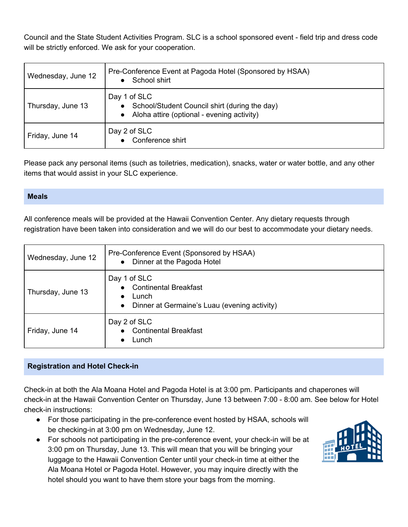Council and the State Student Activities Program. SLC is a school sponsored event - field trip and dress code will be strictly enforced. We ask for your cooperation.

| Wednesday, June 12 | Pre-Conference Event at Pagoda Hotel (Sponsored by HSAA)<br>School shirt<br>$\bullet$                                                 |
|--------------------|---------------------------------------------------------------------------------------------------------------------------------------|
| Thursday, June 13  | Day 1 of SLC<br>School/Student Council shirt (during the day)<br>$\bullet$<br>Aloha attire (optional - evening activity)<br>$\bullet$ |
| Friday, June 14    | Day 2 of SLC<br>Conference shirt<br>$\bullet$                                                                                         |

Please pack any personal items (such as toiletries, medication), snacks, water or water bottle, and any other items that would assist in your SLC experience.

## **Meals**

All conference meals will be provided at the Hawaii Convention Center. Any dietary requests through registration have been taken into consideration and we will do our best to accommodate your dietary needs.

| Wednesday, June 12 | Pre-Conference Event (Sponsored by HSAA)<br>Dinner at the Pagoda Hotel<br>$\bullet$                                        |
|--------------------|----------------------------------------------------------------------------------------------------------------------------|
| Thursday, June 13  | Day 1 of SLC<br>• Continental Breakfast<br>Lunch<br>$\bullet$<br>Dinner at Germaine's Luau (evening activity)<br>$\bullet$ |
| Friday, June 14    | Day 2 of SLC<br>• Continental Breakfast<br>Lunch<br>$\bullet$                                                              |

# **Registration and Hotel Check-in**

Check-in at both the Ala Moana Hotel and Pagoda Hotel is at 3:00 pm. Participants and chaperones will check-in at the Hawaii Convention Center on Thursday, June 13 between 7:00 - 8:00 am. See below for Hotel check-in instructions:

- For those participating in the pre-conference event hosted by HSAA, schools will be checking-in at 3:00 pm on Wednesday, June 12.
- For schools not participating in the pre-conference event, your check-in will be at 3:00 pm on Thursday, June 13. This will mean that you will be bringing your luggage to the Hawaii Convention Center until your check-in time at either the Ala Moana Hotel or Pagoda Hotel. However, you may inquire directly with the hotel should you want to have them store your bags from the morning.